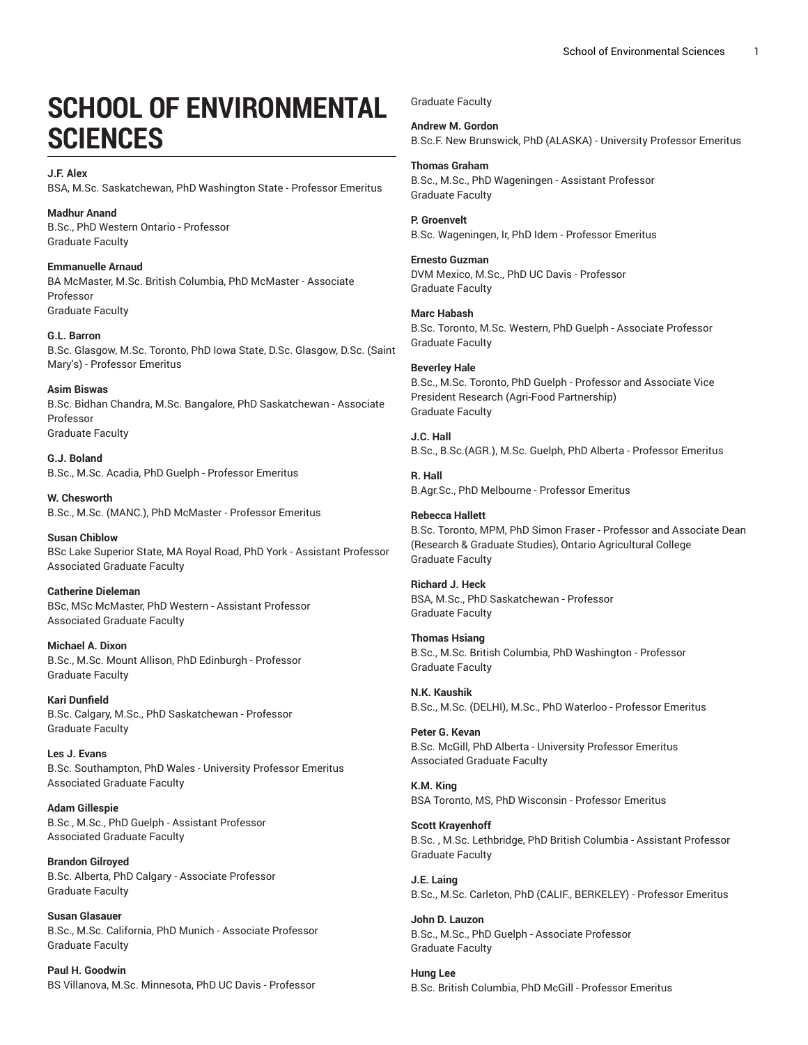## **SCHOOL OF ENVIRONMENTAL SCIENCES**

**J.F. Alex** BSA, M.Sc. Saskatchewan, PhD Washington State - Professor Emeritus

**Madhur Anand** B.Sc., PhD Western Ontario - Professor Graduate Faculty

**Emmanuelle Arnaud** BA McMaster, M.Sc. British Columbia, PhD McMaster - Associate Professor Graduate Faculty

**G.L. Barron** B.Sc. Glasgow, M.Sc. Toronto, PhD Iowa State, D.Sc. Glasgow, D.Sc. (Saint Mary's) - Professor Emeritus

**Asim Biswas** B.Sc. Bidhan Chandra, M.Sc. Bangalore, PhD Saskatchewan - Associate Professor Graduate Faculty

**G.J. Boland** B.Sc., M.Sc. Acadia, PhD Guelph - Professor Emeritus

**W. Chesworth** B.Sc., M.Sc. (MANC.), PhD McMaster - Professor Emeritus

**Susan Chiblow** BSc Lake Superior State, MA Royal Road, PhD York - Assistant Professor Associated Graduate Faculty

**Catherine Dieleman** BSc, MSc McMaster, PhD Western - Assistant Professor Associated Graduate Faculty

**Michael A. Dixon** B.Sc., M.Sc. Mount Allison, PhD Edinburgh - Professor Graduate Faculty

**Kari Dunfield** B.Sc. Calgary, M.Sc., PhD Saskatchewan - Professor Graduate Faculty

**Les J. Evans** B.Sc. Southampton, PhD Wales - University Professor Emeritus Associated Graduate Faculty

**Adam Gillespie** B.Sc., M.Sc., PhD Guelph - Assistant Professor Associated Graduate Faculty

**Brandon Gilroyed** B.Sc. Alberta, PhD Calgary - Associate Professor Graduate Faculty

**Susan Glasauer** B.Sc., M.Sc. California, PhD Munich - Associate Professor Graduate Faculty

**Paul H. Goodwin** BS Villanova, M.Sc. Minnesota, PhD UC Davis - Professor Graduate Faculty

**Andrew M. Gordon** B.Sc.F. New Brunswick, PhD (ALASKA) - University Professor Emeritus

**Thomas Graham** B.Sc., M.Sc., PhD Wageningen - Assistant Professor Graduate Faculty

**P. Groenvelt** B.Sc. Wageningen, Ir, PhD Idem - Professor Emeritus

**Ernesto Guzman** DVM Mexico, M.Sc., PhD UC Davis - Professor Graduate Faculty

**Marc Habash** B.Sc. Toronto, M.Sc. Western, PhD Guelph - Associate Professor Graduate Faculty

**Beverley Hale** B.Sc., M.Sc. Toronto, PhD Guelph - Professor and Associate Vice President Research (Agri-Food Partnership) Graduate Faculty

**J.C. Hall** B.Sc., B.Sc.(AGR.), M.Sc. Guelph, PhD Alberta - Professor Emeritus

**R. Hall** B.Agr.Sc., PhD Melbourne - Professor Emeritus

**Rebecca Hallett** B.Sc. Toronto, MPM, PhD Simon Fraser - Professor and Associate Dean (Research & Graduate Studies), Ontario Agricultural College Graduate Faculty

**Richard J. Heck** BSA, M.Sc., PhD Saskatchewan - Professor Graduate Faculty

**Thomas Hsiang** B.Sc., M.Sc. British Columbia, PhD Washington - Professor Graduate Faculty

**N.K. Kaushik** B.Sc., M.Sc. (DELHI), M.Sc., PhD Waterloo - Professor Emeritus

**Peter G. Kevan** B.Sc. McGill, PhD Alberta - University Professor Emeritus Associated Graduate Faculty

**K.M. King** BSA Toronto, MS, PhD Wisconsin - Professor Emeritus

**Scott Krayenhoff** B.Sc. , M.Sc. Lethbridge, PhD British Columbia - Assistant Professor Graduate Faculty

**J.E. Laing** B.Sc., M.Sc. Carleton, PhD (CALIF., BERKELEY) - Professor Emeritus

**John D. Lauzon** B.Sc., M.Sc., PhD Guelph - Associate Professor Graduate Faculty

**Hung Lee** B.Sc. British Columbia, PhD McGill - Professor Emeritus